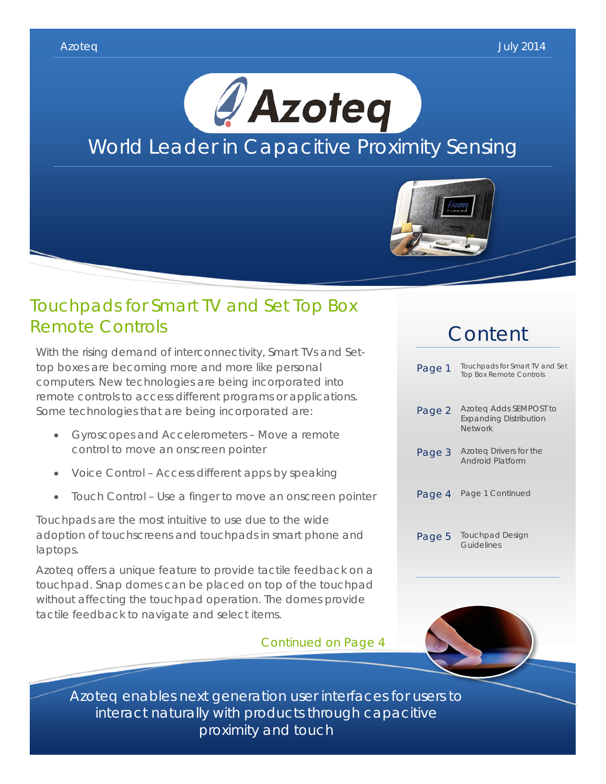

### Touchpads for Smart TV and Set Top Box Remote Controls

With the rising demand of interconnectivity, Smart TVs and Settop boxes are becoming more and more like personal computers. New technologies are being incorporated into remote controls to access different programs or applications. Some technologies that are being incorporated are:

- Gyroscopes and Accelerometers Move a remote control to move an onscreen pointer
- Voice Control Access different apps by speaking
- Touch Control Use a finger to move an onscreen pointer

Touchpads are the most intuitive to use due to the wide adoption of touchscreens and touchpads in smart phone and laptops.

Azoteq offers a unique feature to provide tactile feedback on a touchpad. Snap domes can be placed on top of the touchpad without affecting the touchpad operation. The domes provide tactile feedback to navigate and select items.

Continued on Page 4

# Content

| Page 1 | Touchpads for Smart TV and Set<br><b>Top Box Remote Controls</b>          |
|--------|---------------------------------------------------------------------------|
| Page 2 | Azoteg Adds SEMPOST to<br><b>Expanding Distribution</b><br><b>Network</b> |
| Page 3 | Azoteg Drivers for the<br>Android Platform                                |
| Page 4 | Page 1 Continued                                                          |
| Page 5 | <b>Touchpad Design</b><br>Guidelines                                      |



Azoteq enables next generation user interfaces for users to interact naturally with products through capacitive proximity and touch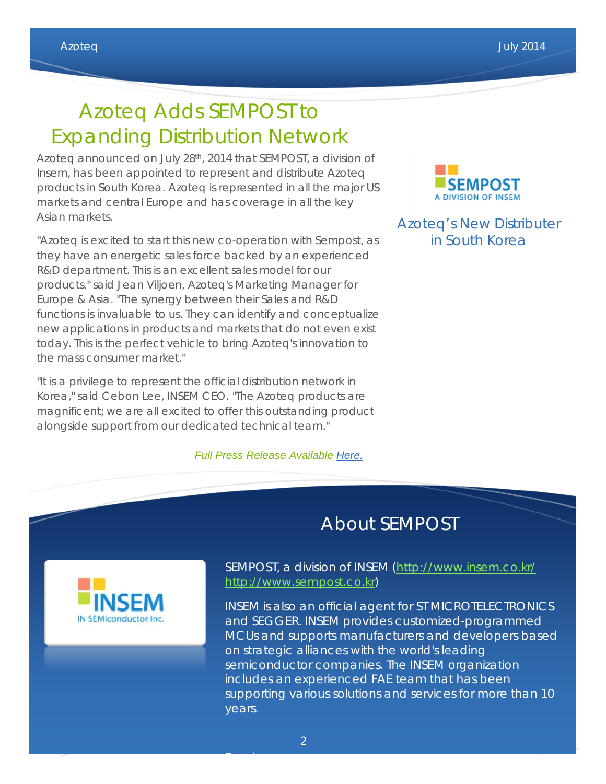# Azoteq Adds SEMPOST to Expanding Distribution Network

Azoteq announced on July 28th, 2014 that SEMPOST, a division of Insem, has been appointed to represent and distribute Azoteq products in South Korea. Azoteq is represented in all the major US markets and central Europe and has coverage in all the key Asian markets.

"Azoteq is excited to start this new co-operation with Sempost, as they have an energetic sales force backed by an experienced R&D department. This is an excellent sales model for our products," said Jean Viljoen, Azoteq's Marketing Manager for Europe & Asia. "The synergy between their Sales and R&D functions is invaluable to us. They can identify and conceptualize new applications in products and markets that do not even exist today. This is the perfect vehicle to bring Azoteq's innovation to the mass consumer market."

"It is a privilege to represent the official distribution network in Korea," said Cebon Lee, INSEM CEO. "The Azoteq products are magnificent; we are all excited to offer this outstanding product alongside support from our dedicated technical team."

### *Full Press Release Available [Here.](http://www.prweb.com/releases/2014/07/prweb12047579.htm)*



Azoteq's New Distributer in South Korea

### About SEMPOST



SEMPOST, a division of INSEM [\(http://www.insem.co.kr/](http://www.insem.co.kr/) [http://www.sempost.co.kr\)](http://www.sempost.co.kr/)

INSEM is also an official agent for ST MICROTELECTRONICS and SEGGER. INSEM provides customized-programmed MCUs and supports manufacturers and developers based on strategic alliances with the world's leading semiconductor companies. The INSEM organization includes an experienced FAE team that has been supporting various solutions and services for more than 10 years.

Read more: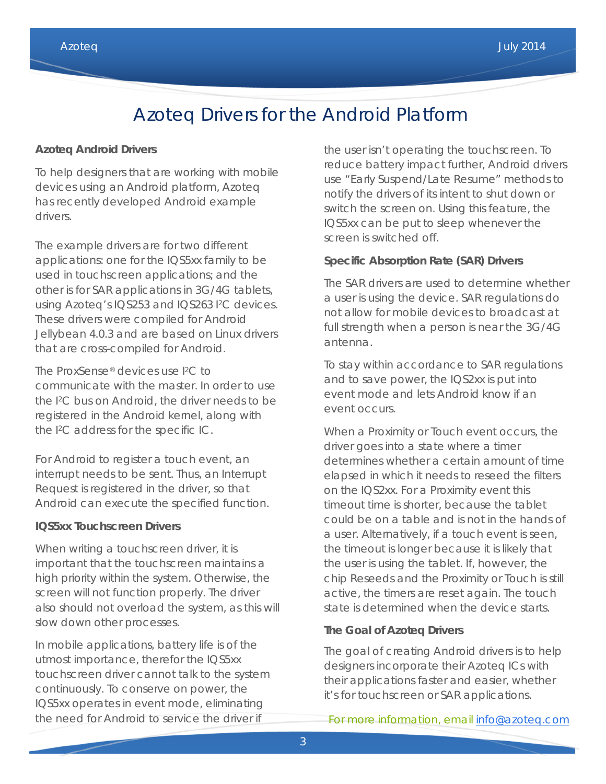## Azoteq Drivers for the Android Platform

#### **Azoteq Android Drivers**

To help designers that are working with mobile devices using an Android platform, Azoteq has recently developed Android example drivers.

The example drivers are for two different applications: one for the IQS5xx family to be used in touchscreen applications; and the other is for SAR applications in 3G/4G tablets, using Azoteq's IQS253 and IQS263 I2C devices. These drivers were compiled for Android Jellybean 4.0.3 and are based on Linux drivers that are cross-compiled for Android.

The ProxSense® devices use I2C to communicate with the master. In order to use the I2C bus on Android, the driver needs to be registered in the Android kernel, along with the I2C address for the specific IC.

For Android to register a touch event, an interrupt needs to be sent. Thus, an Interrupt Request is registered in the driver, so that Android can execute the specified function.

#### **IQS5xx Touchscreen Drivers**

When writing a touchscreen driver, it is important that the touchscreen maintains a high priority within the system. Otherwise, the screen will not function properly. The driver also should not overload the system, as this will slow down other processes.

In mobile applications, battery life is of the utmost importance, therefor the IQS5xx touchscreen driver cannot talk to the system continuously. To conserve on power, the IQS5xx operates in event mode, eliminating the need for Android to service the driver if

the user isn't operating the touchscreen. To reduce battery impact further, Android drivers use "Early Suspend/Late Resume" methods to notify the drivers of its intent to shut down or switch the screen on. Using this feature, the IQS5xx can be put to sleep whenever the screen is switched off.

### **Specific Absorption Rate (SAR) Drivers**

The SAR drivers are used to determine whether a user is using the device. SAR regulations do not allow for mobile devices to broadcast at full strength when a person is near the 3G/4G antenna.

To stay within accordance to SAR regulations and to save power, the IQS2xx is put into event mode and lets Android know if an event occurs.

When a Proximity or Touch event occurs, the driver goes into a state where a timer determines whether a certain amount of time elapsed in which it needs to reseed the filters on the IQS2xx. For a Proximity event this timeout time is shorter, because the tablet could be on a table and is not in the hands of a user. Alternatively, if a touch event is seen, the timeout is longer because it is likely that the user is using the tablet. If, however, the chip Reseeds and the Proximity or Touch is still active, the timers are reset again. The touch state is determined when the device starts.

#### **The Goal of Azoteq Drivers**

The goal of creating Android drivers is to help designers incorporate their Azoteq ICs with their applications faster and easier, whether it's for touchscreen or SAR applications.

#### For more information, email [info@azoteq.com](mailto:info@azoteq.com)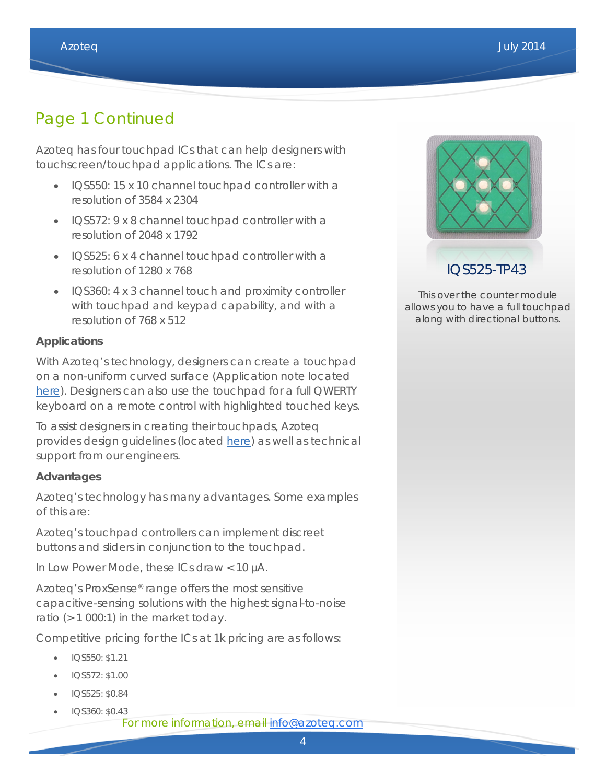### Page 1 Continued

Azoteq has four touchpad ICs that can help designers with touchscreen/touchpad applications. The ICs are:

- IQS550: 15 x 10 channel touchpad controller with a resolution of 3584 x 2304
- IQS572: 9 x 8 channel touchpad controller with a resolution of 2048 x 1792
- IQS525: 6 x 4 channel touchpad controller with a resolution of 1280 x 768
- IQS360: 4 x 3 channel touch and proximity controller with touchpad and keypad capability, and with a resolution of 768 x 512

### **Applications**

With Azoteq's technology, designers can create a touchpad on a non-uniform curved surface (Application note located [here\)](http://www.azoteq.com/images/stories/pdf/azd076_how_to_design_touch_electrode_for_non_uniform_and_curved_surfaces_3d_touchpads.pdf). Designers can also use the touchpad for a full QWERTY keyboard on a remote control with highlighted touched keys.

To assist designers in creating their touchpads, Azoteq provides design guidelines (located [here\)](http://www.azoteq.com/images/stories/pdf/azd068-trackpad_design_guide.pdf) as well as technical support from our engineers.

### **Advantages**

Azoteq's technology has many advantages. Some examples of this are:

Azoteq's touchpad controllers can implement discreet buttons and sliders in conjunction to the touchpad.

In Low Power Mode, these ICs draw < 10 µA.

Azoteq's ProxSense® range offers the most sensitive capacitive-sensing solutions with the highest signal-to-noise ratio (> 1 000:1) in the market today.

Competitive pricing for the ICs at 1k pricing are as follows:

- IQS550: \$1.21
- IQS572: \$1.00
- IQS525: \$0.84
	- IQS360: \$0.43
		- For more information, email [info@azoteq.com](mailto:info@azoteq.com)



This over the counter module allows you to have a full touchpad along with directional buttons.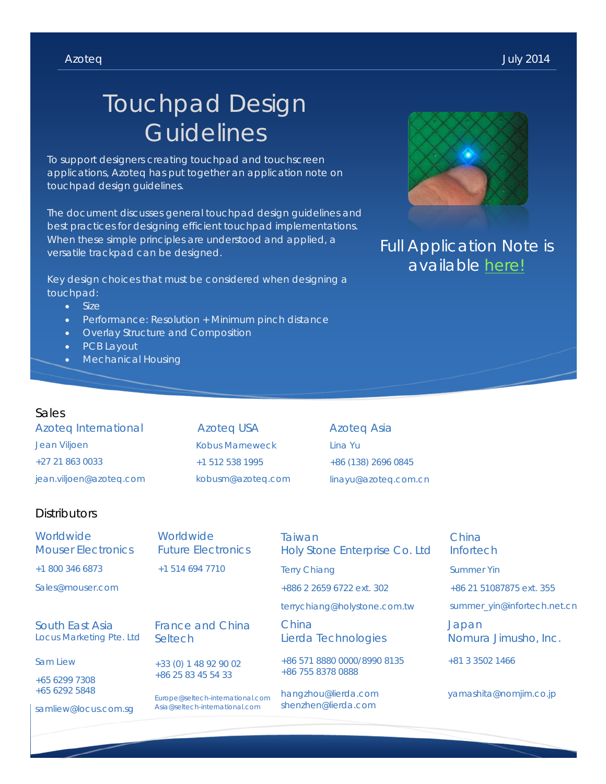# Touchpad Design **Guidelines**

To support designers creating touchpad and touchscreen applications, Azoteq has put together an application note on touchpad design guidelines.

The document discusses general touchpad design guidelines and best practices for designing efficient touchpad implementations. When these simple principles are understood and applied, a versatile trackpad can be designed.

Key design choices that must be considered when designing a touchpad:

- Size
- Performance: Resolution + Minimum pinch distance
- Overlay Structure and Composition
- PCB Layout
- Mechanical Housing

### Sales

Azoteq International Jean Viljoen +27 21 863 0033 jean.viljoen@azoteq.com

Azoteq USA Kobus Marneweck +1 512 538 1995 kobusm@azoteq.com Azoteq Asia Lina Yu +86 (138) 2696 0845 linayu@azoteq.com.cn

### **Distributors**

| Worldwide<br><b>Mouser Electronics</b>             | Worldwide<br><b>Future Electronics</b>                             | Taiwan<br>Holy Stone Enterprise Co. Ltd    | China<br>Infortech            |  |
|----------------------------------------------------|--------------------------------------------------------------------|--------------------------------------------|-------------------------------|--|
| +1 800 346 6873                                    | +1 514 694 7710                                                    | <b>Terry Chiang</b>                        | <b>Summer Yin</b>             |  |
| Sales@mouser.com                                   |                                                                    | +886 2 2659 6722 ext. 302                  | +86 21 51087875 ext. 355      |  |
|                                                    |                                                                    | terrychiang@holystone.com.tw               | summer_yin@infortech.net.cn   |  |
| <b>South East Asia</b><br>Locus Marketing Pte. Ltd | <b>France and China</b><br>Seltech                                 | China<br>Lierda Technologies               | Japan<br>Nomura Jimusho, Inc. |  |
| <b>Sam Liew</b>                                    | +33 (0) 1 48 92 90 02                                              | +86 571 8880 0000/8990 8135                | +81 3 3502 1466               |  |
| +65 6299 7308<br>+65 6292 5848                     | +86 25 83 45 54 33                                                 | +86 755 8378 0888                          |                               |  |
|                                                    | Europe@seltech-international.com<br>Asia@seltech-international.com | hangzhou@lierda.com<br>shenzhen@lierda.com | yamashita@nomjim.co.jp        |  |
| samliew@locus.com.sq                               |                                                                    |                                            |                               |  |



### Full Application Note is available [here!](http://www.azoteq.com/images/stories/pdf/azd068-trackpad_design_guide.pdf)